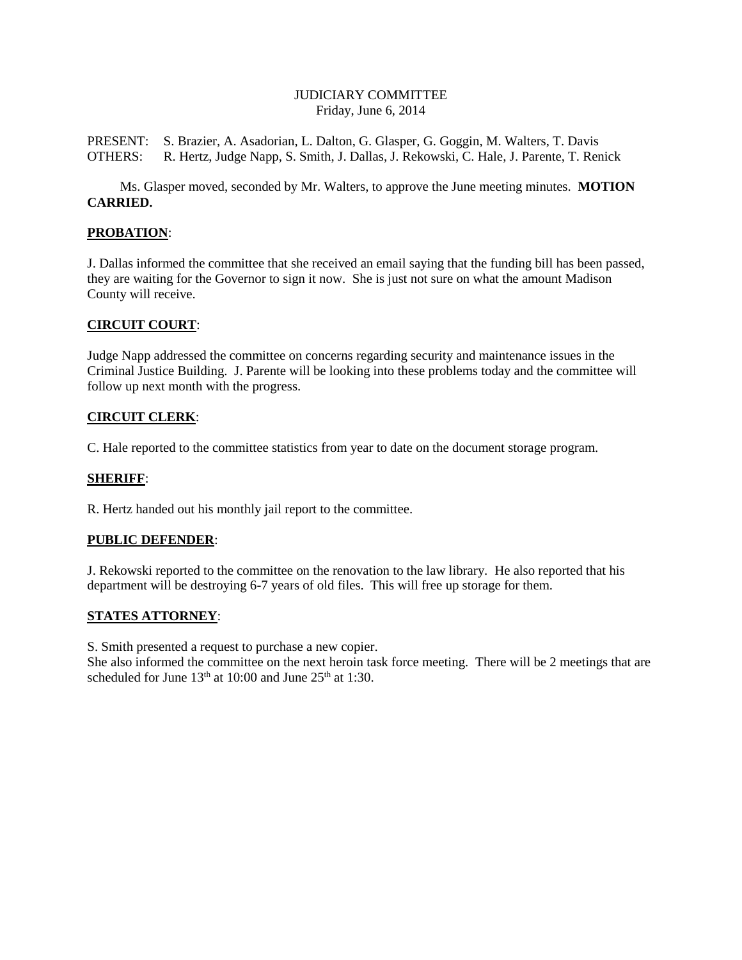## JUDICIARY COMMITTEE Friday, June 6, 2014

PRESENT: S. Brazier, A. Asadorian, L. Dalton, G. Glasper, G. Goggin, M. Walters, T. Davis OTHERS: R. Hertz, Judge Napp, S. Smith, J. Dallas, J. Rekowski, C. Hale, J. Parente, T. Renick

Ms. Glasper moved, seconded by Mr. Walters, to approve the June meeting minutes. **MOTION CARRIED.**

# **PROBATION**:

J. Dallas informed the committee that she received an email saying that the funding bill has been passed, they are waiting for the Governor to sign it now. She is just not sure on what the amount Madison County will receive.

## **CIRCUIT COURT**:

Judge Napp addressed the committee on concerns regarding security and maintenance issues in the Criminal Justice Building. J. Parente will be looking into these problems today and the committee will follow up next month with the progress.

## **CIRCUIT CLERK**:

C. Hale reported to the committee statistics from year to date on the document storage program.

## **SHERIFF**:

R. Hertz handed out his monthly jail report to the committee.

## **PUBLIC DEFENDER**:

J. Rekowski reported to the committee on the renovation to the law library. He also reported that his department will be destroying 6-7 years of old files. This will free up storage for them.

## **STATES ATTORNEY**:

S. Smith presented a request to purchase a new copier.

She also informed the committee on the next heroin task force meeting. There will be 2 meetings that are scheduled for June  $13<sup>th</sup>$  at 10:00 and June  $25<sup>th</sup>$  at 1:30.